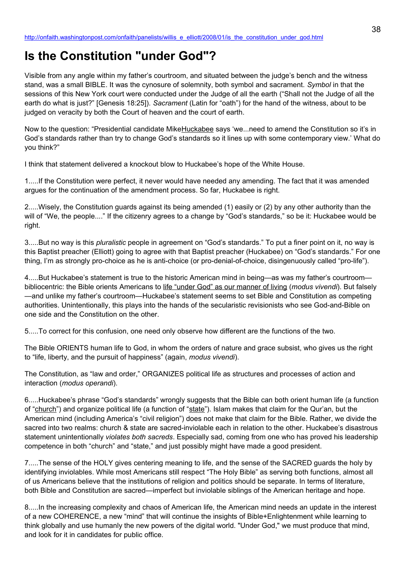## **Is the Constitution "under God"?**

Visible from any angle within my father's courtroom, and situated between the judge's bench and the witness stand, was a small BIBLE. It was the cynosure of solemnity, both symbol and sacrament. *Symbol* in that the sessions of this New York court were conducted under the Judge of all the earth ("Shall not the Judge of all the earth do what is just?" [Genesis 18:25]). *Sacrament* (Latin for "oath") for the hand of the witness, about to be judged on veracity by both the Court of heaven and the court of earth.

Now to the question: "Presidential candidate MikeHuckabee says 'we...need to amend the Constitution so it's in God's standards rather than try to change God's standards so it lines up with some contemporary view.' What do you think?"

I think that statement delivered a knockout blow to Huckabee's hope of the White House.

1.....If the Constitution were perfect, it never would have needed any amending. The fact that it was amended argues for the continuation of the amendment process. So far, Huckabee is right.

2.....Wisely, the Constitution guards against its being amended (1) easily or (2) by any other authority than the will of "We, the people...." If the citizenry agrees to a change by "God's standards," so be it: Huckabee would be right.

3.....But no way is this *pluralistic* people in agreement on "God's standards." To put a finer point on it, no way is this Baptist preacher (Elliott) going to agree with that Baptist preacher (Huckabee) on "God's standards." For one thing, I'm as strongly pro-choice as he is anti-choice (or pro-denial-of-choice, disingenuously called "pro-life").

4.....But Huckabee's statement is true to the historic American mind in being—as was my father's courtroom bibliocentric: the Bible orients Americans to life "under God" as our manner of living (*modus vivendi*). But falsely —and unlike my father's courtroom—Huckabee's statement seems to set Bible and Constitution as competing authorities. Unintentionally, this plays into the hands of the secularistic revisionists who see God-and-Bible on one side and the Constitution on the other.

5.....To correct for this confusion, one need only observe how different are the functions of the two.

The Bible ORIENTS human life to God, in whom the orders of nature and grace subsist, who gives us the right to "life, liberty, and the pursuit of happiness" (again, *modus vivendi*).

The Constitution, as "law and order," ORGANIZES political life as structures and processes of action and interaction (*modus operandi*).

6.....Huckabee's phrase "God's standards" wrongly suggests that the Bible can both orient human life (a function of "church") and organize political life (a function of "state"). Islam makes that claim for the Qur'an, but the American mind (including America's "civil religion") does not make that claim for the Bible. Rather, we divide the sacred into two realms: church & state are sacred-inviolable each in relation to the other. Huckabee's disastrous statement unintentionally *violates both sacreds*. Especially sad, coming from one who has proved his leadership competence in both "church" and "state," and just possibly might have made a good president.

7.....The sense of the HOLY gives centering meaning to life, and the sense of the SACRED guards the holy by identifying inviolables. While most Americans still respect "The Holy Bible" as serving both functions, almost all of us Americans believe that the institutions of religion and politics should be separate. In terms of literature, both Bible and Constitution are sacred—imperfect but inviolable siblings of the American heritage and hope.

8.....In the increasing complexity and chaos of American life, the American mind needs an update in the interest of a new COHERENCE, a new "mind" that will continue the insights of Bible+Enlightenment while learning to think globally and use humanly the new powers of the digital world. "Under God," we must produce that mind, and look for it in candidates for public office.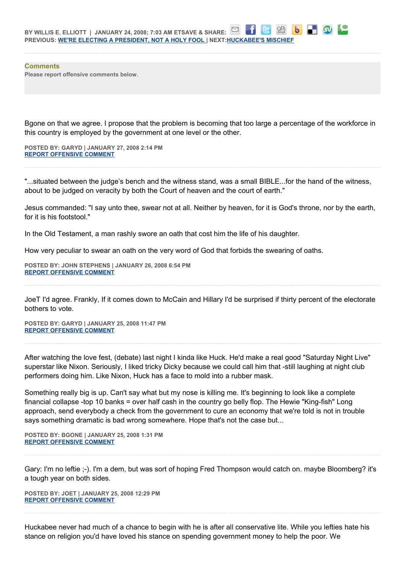**Comments Please report offensive comments below.**

Bgone on that we agree. I propose that the problem is becoming that too large a percentage of the workforce in this country is employed by the government at one level or the other.

**POSTED BY: GARYD | JANUARY 27, 2008 2:14 PM [REPORT OFFENSIVE COMMENT](mailto:blogs@washingtonpost.com?subject=On%20Faith%20Panelists%20Blog%20%20%7C%20%20Garyd%20%20%7C%20%20Is%20the%20Constitution)**

"...situated between the judge's bench and the witness stand, was a small BIBLE...for the hand of the witness, about to be judged on veracity by both the Court of heaven and the court of earth."

Jesus commanded: "I say unto thee, swear not at all. Neither by heaven, for it is God's throne, nor by the earth, for it is his footstool."

In the Old Testament, a man rashly swore an oath that cost him the life of his daughter.

How very peculiar to swear an oath on the very word of God that forbids the swearing of oaths.

**POSTED BY: JOHN STEPHENS | JANUARY 26, 2008 6:54 PM [REPORT OFFENSIVE COMMENT](mailto:blogs@washingtonpost.com?subject=On%20Faith%20Panelists%20Blog%20%20%7C%20%20John%20Stephens%20%20%7C%20%20Is%20the%20Constitution)**

JoeT I'd agree. Frankly, If it comes down to McCain and Hillary I'd be surprised if thirty percent of the electorate bothers to vote.

**POSTED BY: GARYD | JANUARY 25, 2008 11:47 PM [REPORT OFFENSIVE COMMENT](mailto:blogs@washingtonpost.com?subject=On%20Faith%20Panelists%20Blog%20%20%7C%20%20Garyd%20%20%7C%20%20Is%20the%20Constitution)**

After watching the love fest, (debate) last night I kinda like Huck. He'd make a real good "Saturday Night Live" superstar like Nixon. Seriously, I liked tricky Dicky because we could call him that -still laughing at night club performers doing him. Like Nixon, Huck has a face to mold into a rubber mask.

Something really big is up. Can't say what but my nose is killing me. It's beginning to look like a complete financial collapse -top 10 banks = over half cash in the country go belly flop. The Hewie "King-fish" Long approach, send everybody a check from the government to cure an economy that we're told is not in trouble says something dramatic is bad wrong somewhere. Hope that's not the case but...

**POSTED BY: BGONE | JANUARY 25, 2008 1:31 PM [REPORT OFFENSIVE COMMENT](mailto:blogs@washingtonpost.com?subject=On%20Faith%20Panelists%20Blog%20%20%7C%20%20BGone%20%20%7C%20%20Is%20the%20Constitution)**

Gary: I'm no leftie ;-). I'm a dem, but was sort of hoping Fred Thompson would catch on. maybe Bloomberg? it's a tough year on both sides.

**POSTED BY: JOET | JANUARY 25, 2008 12:29 PM [REPORT OFFENSIVE COMMENT](mailto:blogs@washingtonpost.com?subject=On%20Faith%20Panelists%20Blog%20%20%7C%20%20JoeT%20%20%7C%20%20Is%20the%20Constitution)**

Huckabee never had much of a chance to begin with he is after all conservative lite. While you lefties hate his stance on religion you'd have loved his stance on spending government money to help the poor. We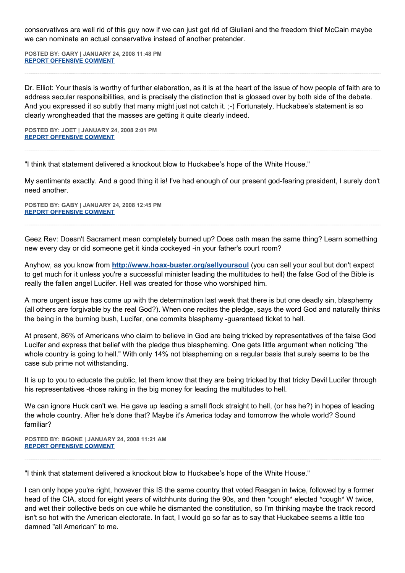conservatives are well rid of this guy now if we can just get rid of Giuliani and the freedom thief McCain maybe we can nominate an actual conservative instead of another pretender.

**POSTED BY: GARY | JANUARY 24, 2008 11:48 PM [REPORT OFFENSIVE COMMENT](mailto:blogs@washingtonpost.com?subject=On%20Faith%20Panelists%20Blog%20%20%7C%20%20Gary%20%20%7C%20%20Is%20the%20Constitution)**

Dr. Elliot: Your thesis is worthy of further elaboration, as it is at the heart of the issue of how people of faith are to address secular responsibilities, and is precisely the distinction that is glossed over by both side of the debate. And you expressed it so subtly that many might just not catch it. ;-) Fortunately, Huckabee's statement is so clearly wrongheaded that the masses are getting it quite clearly indeed.

**POSTED BY: JOET | JANUARY 24, 2008 2:01 PM [REPORT OFFENSIVE COMMENT](mailto:blogs@washingtonpost.com?subject=On%20Faith%20Panelists%20Blog%20%20%7C%20%20JoeT%20%20%7C%20%20Is%20the%20Constitution)**

"I think that statement delivered a knockout blow to Huckabee's hope of the White House."

My sentiments exactly. And a good thing it is! I've had enough of our present god-fearing president, I surely don't need another.

**POSTED BY: GABY | JANUARY 24, 2008 12:45 PM [REPORT OFFENSIVE COMMENT](mailto:blogs@washingtonpost.com?subject=On%20Faith%20Panelists%20Blog%20%20%7C%20%20Gaby%20%20%7C%20%20Is%20the%20Constitution)**

Geez Rev: Doesn't Sacrament mean completely burned up? Does oath mean the same thing? Learn something new every day or did someone get it kinda cockeyed -in your father's court room?

Anyhow, as you know from **<http://www.hoax-buster.org/sellyoursoul>** (you can sell your soul but don't expect to get much for it unless you're a successful minister leading the multitudes to hell) the false God of the Bible is really the fallen angel Lucifer. Hell was created for those who worshiped him.

A more urgent issue has come up with the determination last week that there is but one deadly sin, blasphemy (all others are forgivable by the real God?). When one recites the pledge, says the word God and naturally thinks the being in the burning bush, Lucifer, one commits blasphemy -guaranteed ticket to hell.

At present, 86% of Americans who claim to believe in God are being tricked by representatives of the false God Lucifer and express that belief with the pledge thus blaspheming. One gets little argument when noticing "the whole country is going to hell." With only 14% not blaspheming on a regular basis that surely seems to be the case sub prime not withstanding.

It is up to you to educate the public, let them know that they are being tricked by that tricky Devil Lucifer through his representatives -those raking in the big money for leading the multitudes to hell.

We can ignore Huck can't we. He gave up leading a small flock straight to hell, (or has he?) in hopes of leading the whole country. After he's done that? Maybe it's America today and tomorrow the whole world? Sound familiar?

**POSTED BY: BGONE | JANUARY 24, 2008 11:21 AM [REPORT OFFENSIVE COMMENT](mailto:blogs@washingtonpost.com?subject=On%20Faith%20Panelists%20Blog%20%20%7C%20%20BGone%20%20%7C%20%20Is%20the%20Constitution)**

"I think that statement delivered a knockout blow to Huckabee's hope of the White House."

I can only hope you're right, however this IS the same country that voted Reagan in twice, followed by a former head of the CIA, stood for eight years of witchhunts during the 90s, and then \*cough\* elected \*cough\* W twice, and wet their collective beds on cue while he dismanted the constitution, so I'm thinking maybe the track record isn't so hot with the American electorate. In fact, I would go so far as to say that Huckabee seems a little too damned "all American" to me.